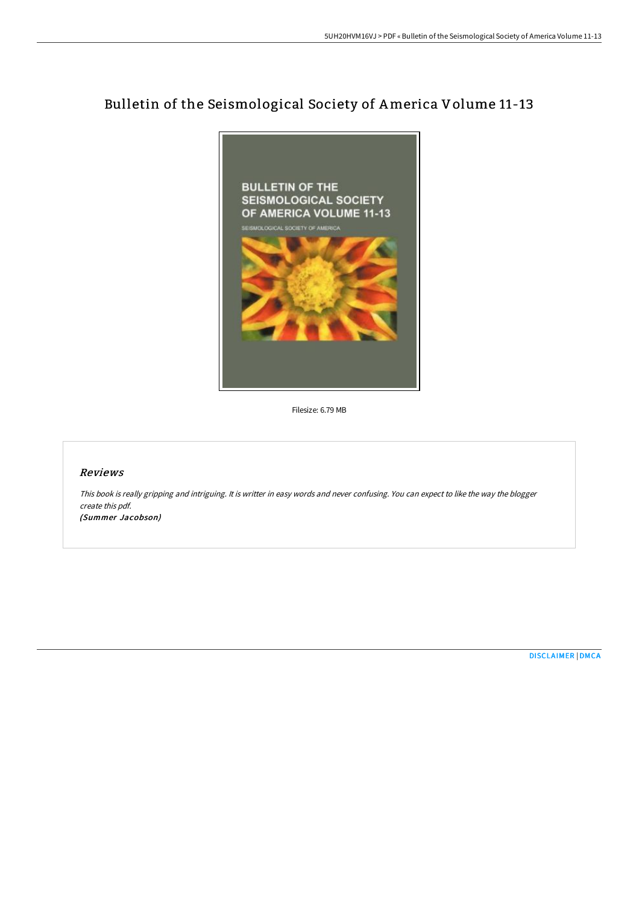# Bulletin of the Seismological Society of America Volume 11-13



Filesize: 6.79 MB

#### Reviews

This book is really gripping and intriguing. It is writter in easy words and never confusing. You can expect to like the way the blogger create this pdf. (Summer Jacobson)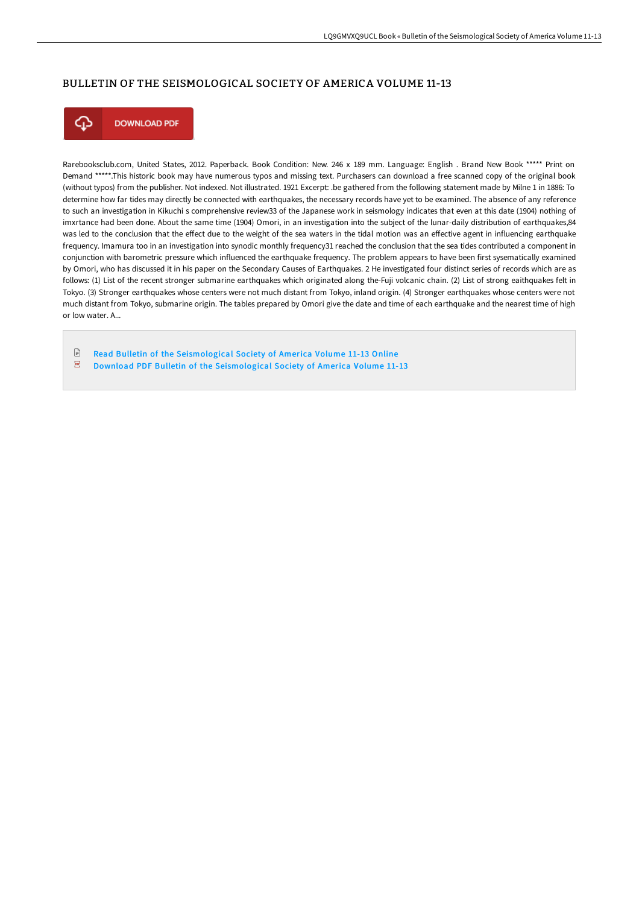### BULLETIN OF THE SEISMOLOGICAL SOCIETY OF AMERICA VOLUME 11-13



**DOWNLOAD PDF** 

Rarebooksclub.com, United States, 2012. Paperback. Book Condition: New. 246 x 189 mm. Language: English . Brand New Book \*\*\*\*\* Print on Demand \*\*\*\*\*.This historic book may have numerous typos and missing text. Purchasers can download a free scanned copy of the original book (without typos) from the publisher. Not indexed. Not illustrated. 1921 Excerpt: .be gathered from the following statement made by Milne 1 in 1886: To determine how far tides may directly be connected with earthquakes, the necessary records have yet to be examined. The absence of any reference to such an investigation in Kikuchi s comprehensive review33 of the Japanese work in seismology indicates that even at this date (1904) nothing of imxrtance had been done. About the same time (1904) Omori, in an investigation into the subject of the lunar-daily distribution of earthquakes,84 was led to the conclusion that the effect due to the weight of the sea waters in the tidal motion was an effective agent in influencing earthquake frequency. Imamura too in an investigation into synodic monthly frequency31 reached the conclusion that the sea tides contributed a component in conjunction with barometric pressure which influenced the earthquake frequency. The problem appears to have been first sysematically examined by Omori, who has discussed it in his paper on the Secondary Causes of Earthquakes. 2 He investigated four distinct series of records which are as follows: (1) List of the recent stronger submarine earthquakes which originated along the-Fuji volcanic chain. (2) List of strong eaithquakes felt in Tokyo. (3) Stronger earthquakes whose centers were not much distant from Tokyo, inland origin. (4) Stronger earthquakes whose centers were not much distant from Tokyo, submarine origin. The tables prepared by Omori give the date and time of each earthquake and the nearest time of high or low water. A...

 $\ensuremath{\mathop\square}$ Read Bulletin of the [Seismological](http://albedo.media/bulletin-of-the-seismological-society-of-america-2.html) Society of America Volume 11-13 Online Download PDF Bulletin of the [Seismological](http://albedo.media/bulletin-of-the-seismological-society-of-america-2.html) Society of America Volume 11-13 $\overline{\mathbf{P}^{\mathbf{p}}}$